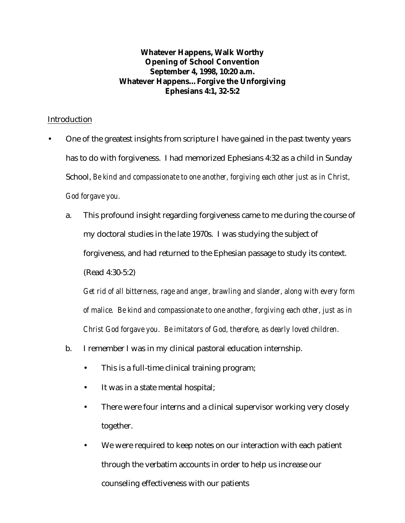## **Whatever Happens, Walk Worthy Opening of School Convention September 4, 1998, 10:20 a.m. Whatever Happens…Forgive the Unforgiving Ephesians 4:1, 32-5:2**

## Introduction

- One of the greatest insights from scripture I have gained in the past twenty years has to do with forgiveness. I had memorized Ephesians 4:32 as a child in Sunday School, *Be kind and compassionate to one another, forgiving each other just as in Christ, God forgave you.*
	- a. This profound insight regarding forgiveness came to me during the course of my doctoral studies in the late 1970s. I was studying the subject of forgiveness, and had returned to the Ephesian passage to study its context. (Read 4:30-5:2)

*Get rid of all bitterness, rage and anger, brawling and slander, along with every form of malice. Be kind and compassionate to one another, forgiving each other, just as in Christ God forgave you. Be imitators of God, therefore, as dearly loved children.*

- b. I remember I was in my clinical pastoral education internship.
	- This is a full-time clinical training program;
	- It was in a state mental hospital;
	- There were four interns and a clinical supervisor working very closely together.
	- We were required to keep notes on our interaction with each patient through the verbatim accounts in order to help us increase our counseling effectiveness with our patients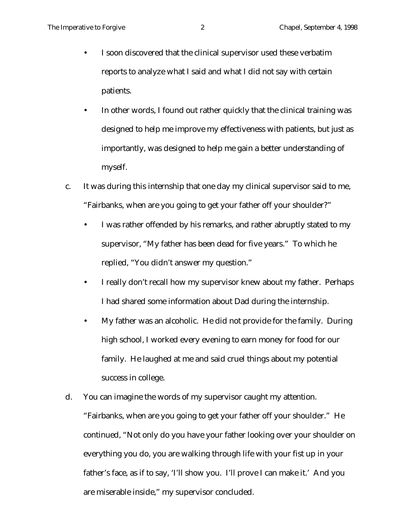- I soon discovered that the clinical supervisor used these verbatim reports to analyze what I said and what I did not say with certain patients.
- In other words, I found out rather quickly that the clinical training was designed to help me improve my effectiveness with patients, but just as importantly, was designed to help me gain a better understanding of myself.
- c. It was during this internship that one day my clinical supervisor said to me, "Fairbanks, when are you going to get your father off your shoulder?"
	- I was rather offended by his remarks, and rather abruptly stated to my supervisor, "My father has been dead for five years." To which he replied, "You didn't answer my question."
	- I really don't recall how my supervisor knew about my father. Perhaps I had shared some information about Dad during the internship.
	- My father was an alcoholic. He did not provide for the family. During high school, I worked every evening to earn money for food for our family. He laughed at me and said cruel things about my potential success in college.
- d. You can imagine the words of my supervisor caught my attention. "Fairbanks, when are you going to get your father off your shoulder." He continued, "Not only do you have your father looking over your shoulder on everything you do, you are walking through life with your fist up in your father's face, as if to say, 'I'll show you. I'll prove I can make it.' And you are miserable inside," my supervisor concluded.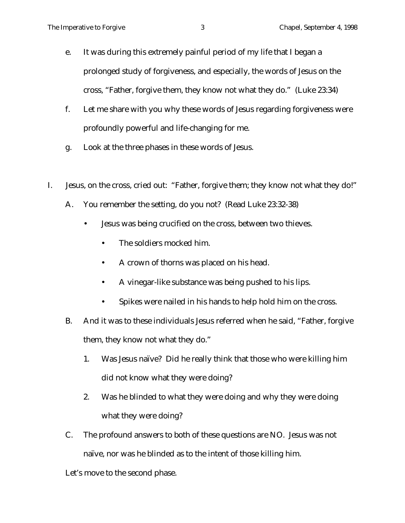- e. It was during this extremely painful period of my life that I began a prolonged study of forgiveness, and especially, the words of Jesus on the cross, "Father, forgive them, they know not what they do." (Luke 23:34)
- f. Let me share with you why these words of Jesus regarding forgiveness were profoundly powerful and life-changing for me.
- g. Look at the three phases in these words of Jesus.
- I. Jesus, on the cross, cried out: "Father, forgive them; they know not what they do!"
	- A. You remember the setting, do you not? (Read Luke 23:32-38)
		- Jesus was being crucified on the cross, between two thieves.
			- The soldiers mocked him.
			- A crown of thorns was placed on his head.
			- A vinegar-like substance was being pushed to his lips.
			- Spikes were nailed in his hands to help hold him on the cross.
	- B. And it was to these individuals Jesus referred when he said, "Father, forgive them, they know not what they do."
		- 1. Was Jesus naïve? Did he really think that those who were killing him did not know what they were doing?
		- 2. Was he blinded to what they were doing and why they were doing what they were doing?
	- C. The profound answers to both of these questions are NO. Jesus was not naïve, nor was he blinded as to the intent of those killing him.

Let's move to the second phase.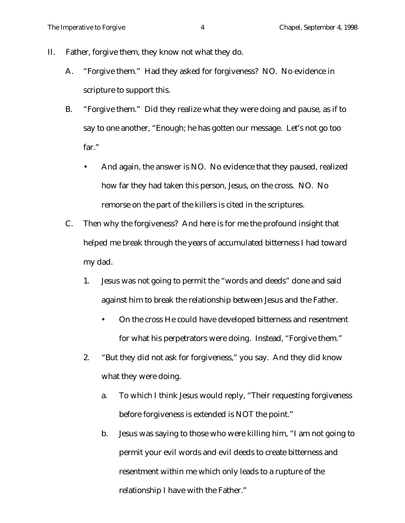- II. Father, forgive them, they know not what they do.
	- A. "Forgive them." Had they asked for forgiveness? NO. No evidence in scripture to support this.
	- B. "Forgive them." Did they realize what they were doing and pause, as if to say to one another, "Enough; he has gotten our message. Let's not go too far."
		- And again, the answer is NO. No evidence that they paused, realized how far they had taken this person, Jesus, on the cross. NO. No remorse on the part of the killers is cited in the scriptures.
	- C. Then why the forgiveness? And here is for me the profound insight that helped me break through the years of accumulated bitterness I had toward my dad.
		- 1. Jesus was not going to permit the "words and deeds" done and said against him to break the relationship between Jesus and the Father.
			- On the cross He could have developed bitterness and resentment for what his perpetrators were doing. Instead, "Forgive them."
		- 2. "But they did not ask for forgiveness," you say. And they did know what they were doing.
			- a. To which I think Jesus would reply, "Their requesting forgiveness before forgiveness is extended is NOT the point."
			- b. Jesus was saying to those who were killing him, "I am not going to permit your evil words and evil deeds to create bitterness and resentment within me which only leads to a rupture of the relationship I have with the Father."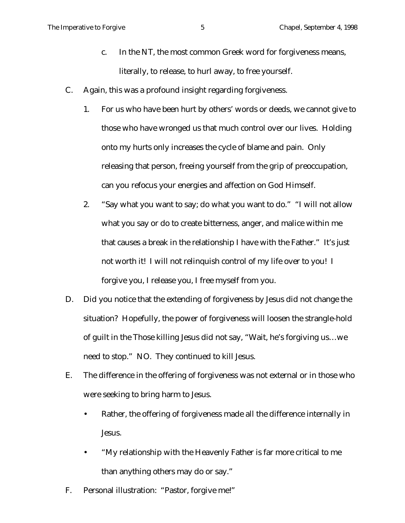- c. In the NT, the most common Greek word for forgiveness means, literally, to release, to hurl away, to free yourself.
- C. Again, this was a profound insight regarding forgiveness.
	- 1. For us who have been hurt by others' words or deeds, we cannot give to those who have wronged us that much control over our lives. Holding onto my hurts only increases the cycle of blame and pain. Only releasing that person, freeing yourself from the grip of preoccupation, can you refocus your energies and affection on God Himself.
	- 2. "Say what you want to say; do what you want to do." "I will not allow what you say or do to create bitterness, anger, and malice within me that causes a break in the relationship I have with the Father." It's just not worth it! I will not relinquish control of my life over to you! I forgive you, I release you, I free myself from you.
- D. Did you notice that the extending of forgiveness by Jesus did not change the situation? Hopefully, the power of forgiveness will loosen the strangle-hold of guilt in the Those killing Jesus did not say, "Wait, he's forgiving us…we need to stop." NO. They continued to kill Jesus.
- E. The difference in the offering of forgiveness was not external or in those who were seeking to bring harm to Jesus.
	- Rather, the offering of forgiveness made all the difference internally in Jesus.
	- "My relationship with the Heavenly Father is far more critical to me than anything others may do or say."
- F. Personal illustration: "Pastor, forgive me!"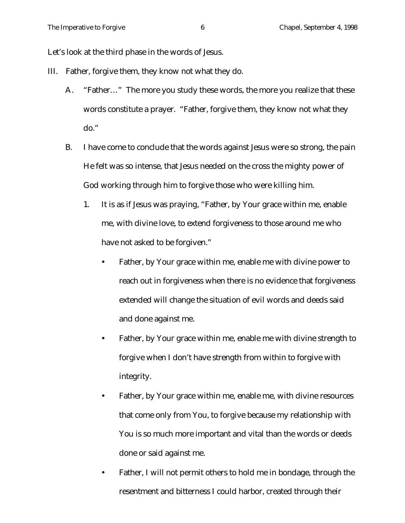Let's look at the third phase in the words of Jesus.

- III. Father, forgive them, they know not what they do.
	- A. "Father…" The more you study these words, the more you realize that these words constitute a prayer. "Father, forgive them, they know not what they do."
	- B. I have come to conclude that the words against Jesus were so strong, the pain He felt was so intense, that Jesus needed on the cross the mighty power of God working through him to forgive those who were killing him.
		- 1. It is as if Jesus was praying, "Father, by Your grace within me, enable me, with divine love, to extend forgiveness to those around me who have not asked to be forgiven."
			- Father, by Your grace within me, enable me with divine power to reach out in forgiveness when there is no evidence that forgiveness extended will change the situation of evil words and deeds said and done against me.
			- Father, by Your grace within me, enable me with divine strength to forgive when I don't have strength from within to forgive with integrity.
			- Father, by Your grace within me, enable me, with divine resources that come only from You, to forgive because my relationship with You is so much more important and vital than the words or deeds done or said against me.
			- Father, I will not permit others to hold me in bondage, through the resentment and bitterness I could harbor, created through their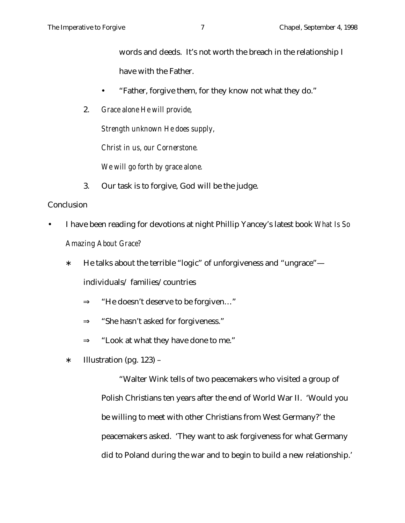words and deeds. It's not worth the breach in the relationship I have with the Father.

- "Father, forgive them, for they know not what they do."
- 2. *Grace alone He will provide,*

*Strength unknown He does supply,*

*Christ in us, our Cornerstone.*

*We will go forth by grace alone.*

3. Our task is to forgive, God will be the judge.

## **Conclusion**

- I have been reading for devotions at night Phillip Yancey's latest book *What Is So Amazing About Grace?*
	- ∗ He talks about the terrible "logic" of unforgiveness and "ungrace" individuals/ families/countries
		- ⇒ "He doesn't deserve to be forgiven…"
		- ⇒ "She hasn't asked for forgiveness."
		- $\Rightarrow$  "Look at what they have done to me."
	- ∗ Illustration (pg. 123) –

"Walter Wink tells of two peacemakers who visited a group of Polish Christians ten years after the end of World War II. 'Would you be willing to meet with other Christians from West Germany?' the peacemakers asked. 'They want to ask forgiveness for what Germany did to Poland during the war and to begin to build a new relationship.'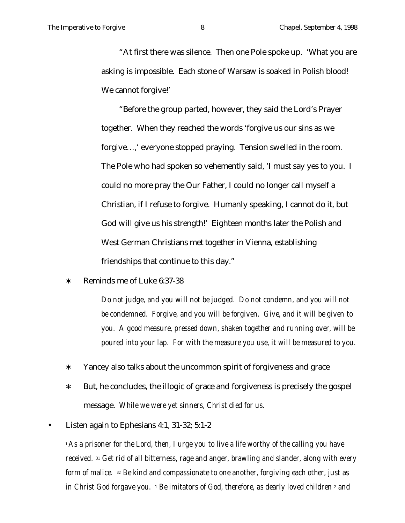"At first there was silence. Then one Pole spoke up. 'What you are asking is impossible. Each stone of Warsaw is soaked in Polish blood! We cannot forgive!'

"Before the group parted, however, they said the Lord's Prayer together. When they reached the words 'forgive us our sins as we forgive…,' everyone stopped praying. Tension swelled in the room. The Pole who had spoken so vehemently said, 'I must say yes to you. I could no more pray the Our Father, I could no longer call myself a Christian, if I refuse to forgive. Humanly speaking, I cannot do it, but God will give us his strength!' Eighteen months later the Polish and West German Christians met together in Vienna, establishing friendships that continue to this day."

∗ Reminds me of Luke 6:37-38

*Do not judge, and you will not be judged. Do not condemn, and you will not be condemned. Forgive, and you will be forgiven. Give, and it will be given to you. A good measure, pressed down, shaken together and running over, will be poured into your lap. For with the measure you use, it will be measured to you.*

- ∗ Yancey also talks about the uncommon spirit of forgiveness and grace
- ∗ But, he concludes, the illogic of grace and forgiveness is precisely the gospel message. *While we were yet sinners, Christ died for us.*
- Listen again to Ephesians 4:1, 31-32; 5:1-2

*<sup>1</sup>As a prisoner for the Lord, then, I urge you to live a life worthy of the calling you have received. <sup>31</sup> Get rid of all bitterness, rage and anger, brawling and slander, along with every form of malice. <sup>32</sup> Be kind and compassionate to one another, forgiving each other, just as in Christ God forgave you. 1 Be imitators of God, therefore, as dearly loved children 2 and*